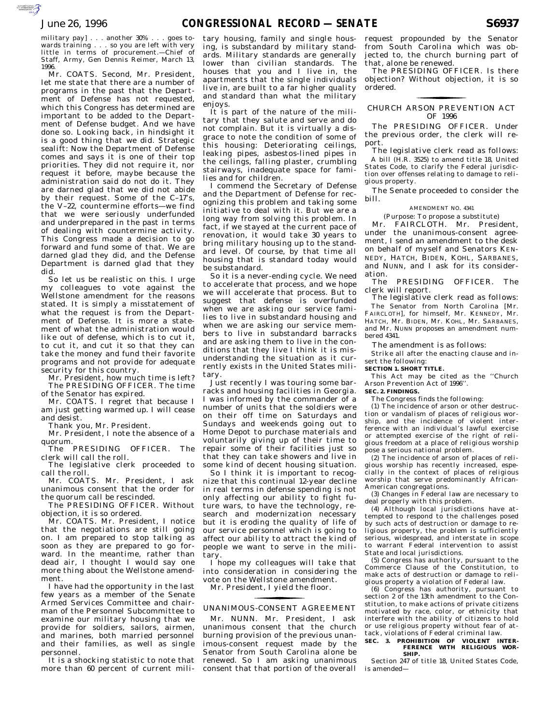military pay] . . . another 30% . . . goes towards training . . . so you are left with very little in terms of procurement.—Chief of Staff, Army, Gen Dennis Reimer, March 13, 1996.

Mr. COATS. Second, Mr. President, let me state that there are a number of programs in the past that the Department of Defense has not requested, which this Congress has determined are important to be added to the Department of Defense budget. And we have done so. Looking back, in hindsight it is a good thing that we did. Strategic sealift: Now the Department of Defense comes and says it is one of their top priorities. They did not require it, nor request it before, maybe because the administration said do not do it. They are darned glad that we did not abide by their request. Some of the C–17's, the V–22, countermine efforts—we find that we were seriously underfunded and underprepared in the past in terms of dealing with countermine activity. This Congress made a decision to go forward and fund some of that. We are darned glad they did, and the Defense Department is darned glad that they did.

So let us be realistic on this. I urge my colleagues to vote against the Wellstone amendment for the reasons stated. It is simply a misstatement of what the request is from the Department of Defense. It is more a statement of what the administration would like out of defense, which is to cut it, to cut it, and cut it so that they can take the money and fund their favorite programs and not provide for adequate security for this country.

Mr. President, how much time is left? The PRESIDING OFFICER. The time

of the Senator has expired. Mr. COATS. I regret that because I am just getting warmed up. I will cease

and desist.

Thank you, Mr. President.

Mr. President, I note the absence of a quorum.

The PRESIDING OFFICER. The clerk will call the roll.

The legislative clerk proceeded to call the roll. Mr. COATS. Mr. President, I ask

unanimous consent that the order for the quorum call be rescinded.

The PRESIDING OFFICER. Without objection, it is so ordered.

Mr. COATS. Mr. President, I notice that the negotiations are still going on. I am prepared to stop talking as soon as they are prepared to go forward. In the meantime, rather than dead air, I thought I would say one more thing about the Wellstone amendment.

I have had the opportunity in the last few years as a member of the Senate Armed Services Committee and chairman of the Personnel Subcommittee to examine our military housing that we provide for soldiers, sailors, airmen, and marines, both married personnel and their families, as well as single personnel.

It is a shocking statistic to note that more than 60 percent of current mili-

tary housing, family and single housing, is substandard by military standards. Military standards are generally lower than civilian standards. The houses that you and I live in, the apartments that the single individuals live in, are built to a far higher quality and standard than what the military enjoys.

It is part of the nature of the military that they salute and serve and do not complain. But it is virtually a disgrace to note the condition of some of this housing: Deteriorating ceilings, leaking pipes, asbestos-lined pipes in the ceilings, falling plaster, crumbling stairways, inadequate space for families and for children.

I commend the Secretary of Defense and the Department of Defense for recognizing this problem and taking some initiative to deal with it. But we are a long way from solving this problem. In fact, if we stayed at the current pace of renovation, it would take 30 years to bring military housing up to the standard level. Of course, by that time all housing that is standard today would be substandard.

So it is a never-ending cycle. We need to accelerate that process, and we hope we will accelerate that process. But to suggest that defense is overfunded when we are asking our service families to live in substandard housing and when we are asking our service members to live in substandard barracks and are asking them to live in the conditions that they live I think it is misunderstanding the situation as it currently exists in the United States military.

Just recently I was touring some barracks and housing facilities in Georgia. I was informed by the commander of a number of units that the soldiers were on their off time on Saturdays and Sundays and weekends going out to Home Depot to purchase materials and voluntarily giving up of their time to repair some of their facilities just so that they can take showers and live in some kind of decent housing situation.

So I think it is important to recognize that this continual 12-year decline in real terms in defense spending is not only affecting our ability to fight future wars, to have the technology, research and modernization necessary but it is eroding the quality of life of our service personnel which is going to affect our ability to attract the kind of people we want to serve in the military.

I hope my colleagues will take that into consideration in considering the vote on the Wellstone amendment.

Mr. President, I yield the floor.

## UNANIMOUS-CONSENT AGREEMENT <u>for the second contract of the second contract of the second contract of the second contract of the second contract of the second contract of the second contract of the second contract of the second contract of the second</u>

Mr. NUNN. Mr. President, I ask unanimous consent that the church burning provision of the previous unanimous-consent request made by the Senator from South Carolina alone be renewed. So I am asking unanimous consent that that portion of the overall

request propounded by the Senator from South Carolina which was objected to, the church burning part of that, alone be renewed.

The PRESIDING OFFICER. Is there objection? Without objection, it is so ordered.

### CHURCH ARSON PREVENTION ACT <u>for the contract of the contract of the contract of the contract of the contract of the contract of the contract of the contract of the contract of the contract of the contract of the contract of the contract of the contr</u> OF 1996

The PRESIDING OFFICER. Under the previous order, the clerk will report.

The legislative clerk read as follows: A bill (H.R. 3525) to amend title 18, United States Code, to clarify the Federal jurisdiction over offenses relating to damage to religious property.

The Senate proceeded to consider the bill.

### AMENDMENT NO. 4341

(Purpose: To propose a substitute)

Mr. FAIRCLOTH. Mr. President, under the unanimous-consent agreement, I send an amendment to the desk on behalf of myself and Senators KEN-NEDY, HATCH, BIDEN, KOHL, SARBANES, and NUNN, and I ask for its consideration.

The PRESIDING OFFICER. The clerk will report.

The legislative clerk read as follows: The Senator from North Carolina [Mr. FAIRCLOTH], for himself, Mr. KENNEDY, Mr. HATCH, Mr. BIDEN, Mr. KOHL, Mr. SARBANES, and Mr. NUNN proposes an amendment numbered 4341.

The amendment is as follows:

Strike all after the enacting clause and insert the following:

### **SECTION 1. SHORT TITLE.**

This Act may be cited as the ''Church Arson Prevention Act of 1996''. **SEC. 2. FINDINGS.**

The Congress finds the following:

(1) The incidence of arson or other destruction or vandalism of places of religious worship, and the incidence of violent interference with an individual's lawful exercise or attempted exercise of the right of religious freedom at a place of religious worship pose a serious national problem.

(2) The incidence of arson of places of religious worship has recently increased, especially in the context of places of religious worship that serve predominantly African-American congregations.

(3) Changes in Federal law are necessary to deal properly with this problem.

(4) Although local jurisdictions have attempted to respond to the challenges posed by such acts of destruction or damage to religious property, the problem is sufficiently serious, widespread, and interstate in scope to warrant Federal intervention to assist State and local jurisdictions.

(5) Congress has authority, pursuant to the Commerce Clause of the Constitution, to make acts of destruction or damage to religious property a violation of Federal law.

(6) Congress has authority, pursuant to section 2 of the 13th amendment to the Constitution, to make actions of private citizens motivated by race, color, or ethnicity that interfere with the ability of citizens to hold or use religious property without fear of attack, violations of Federal criminal law.

# **SEC. 3. PROHIBITION OF VIOLENT INTER-FERENCE WITH RELIGIOUS WOR-SHIP.**

Section 247 of title 18, United States Code, is amended—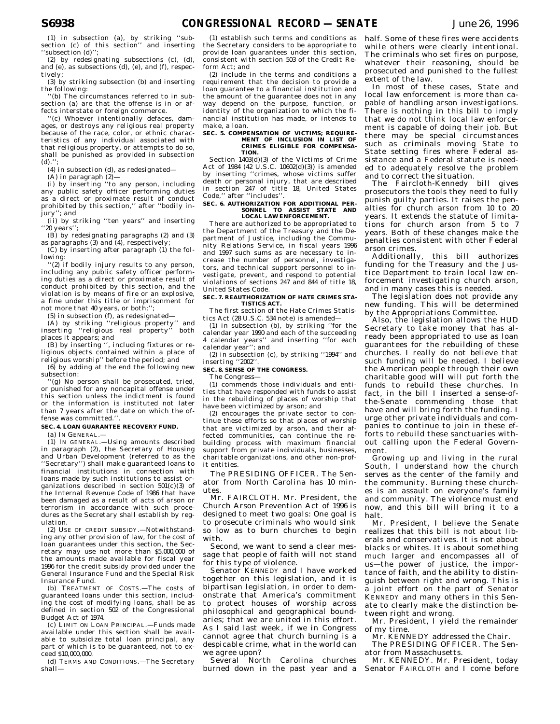(1) in subsection (a), by striking ''subsection (c) of this section'' and inserting ''subsection (d)'';

(2) by redesignating subsections (c), (d), and (e), as subsections (d), (e), and (f), respectively;

(3) by striking subsection (b) and inserting the following:

''(b) The circumstances referred to in subsection (a) are that the offense is in or affects interstate or foreign commerce.

''(c) Whoever intentionally defaces, damages, or destroys any religious real property because of the race, color, or ethnic characteristics of any individual associated with that religious property, or attempts to do so, shall be punished as provided in subsection  $(d)$ .''

(4) in subsection (d), as redesignated—

(A) in paragraph (2)—

(i) by inserting ''to any person, including any public safety officer performing duties as a direct or proximate result of conduct prohibited by this section,'' after ''bodily injury''; and

(ii) by striking ''ten years'' and inserting ''20 years'';

(B) by redesignating paragraphs (2) and (3) as paragraphs (3) and (4), respectively;

(C) by inserting after paragraph (1) the following:

''(2) if bodily injury results to any person, including any public safety officer performing duties as a direct or proximate result of conduct prohibited by this section, and the violation is by means of fire or an explosive, a fine under this title or imprisonment for not more that 40 years, or both;'';

(5) in subsection (f), as redesignated-

(A) by striking "religious property" and<br>iserting "religious real property" both inserting "religious real property" places it appears; and

(B) by inserting '', including fixtures or religious objects contained within a place of religious worship'' before the period; and

(6) by adding at the end the following new subsection:

''(g) No person shall be prosecuted, tried, or punished for any noncapital offense under this section unless the indictment is found or the information is instituted not later than 7 years after the date on which the offense was committed.'

#### **SEC. 4. LOAN GUARANTEE RECOVERY FUND.**

(a) IN GENERAL.—

(1) IN GENERAL.—Using amounts described in paragraph (2), the Secretary of Housing and Urban Development (referred to as the 'Secretary'') shall make guaranteed loans to financial institutions in connection with loans made by such institutions to assist organizations described in section 501(c)(3) of the Internal Revenue Code of 1986 that have been damaged as a result of acts of arson or terrorism in accordance with such procedures as the Secretary shall establish by regulation.

(2) USE OF CREDIT SUBSIDY.—Notwithstanding any other provision of law, for the cost of loan guarantees under this section, the Secretary may use not more than \$5,000,000 of the amounts made available for fiscal year 1996 for the credit subsidy provided under the General Insurance Fund and the Special Risk Insurance Fund.

(b) TREATMENT OF COSTS.—The costs of guaranteed loans under this section, including the cost of modifying loans, shall be as defined in section 502 of the Congressional Budget Act of 1974.

(c) LIMIT ON LOAN PRINCIPAL.—Funds made available under this section shall be available to subsidize total loan principal, any part of which is to be guaranteed, not to exceed \$10,000,000.

(d) TERMS AND CONDITIONS.—The Secretary shall—

(1) establish such terms and conditions as the Secretary considers to be appropriate to provide loan guarantees under this section, consistent with section 503 of the Credit Reform Act; and

(2) include in the terms and conditions a requirement that the decision to provide a loan guarantee to a financial institution and the amount of the guarantee does not in any way depend on the purpose, function, or identity of the organization to which the financial institution has made, or intends to make, a loan.

## **SEC. 5. COMPENSATION OF VICTIMS; REQUIRE-MENT OF INCLUSION IN LIST OF CRIMES ELIGIBLE FOR COMPENSA-TION.**

Section 1403(d)(3) of the Victims of Crime Act of 1984 (42 U.S.C.  $10602(d)(3)$ ) is amended by inserting ''crimes, whose victims suffer death or personal injury, that are described in section 247 of title 18, United States Code,'' after ''includes''.

#### **SEC. 6. AUTHORIZATION FOR ADDITIONAL PER-**SONNEL TO ASSIST STATE AND **LOCAL LAW ENFORCEMENT.**

There are authorized to be appropriated to the Department of the Treasury and the Department of Justice, including the Community Relations Service, in fiscal years 1996 and 1997 such sums as are necessary to increase the number of personnel, investigators, and technical support personnel to investigate, prevent, and respond to potential violations of sections 247 and 844 of title 18, United States Code.

### **SEC. 7. REAUTHORIZATION OF HATE CRIMES STA-TISTICS ACT.**

The first section of the Hate Crimes Statistics Act (28 U.S.C. 534 note) is amended—

(1) in subsection (b), by striking ''for the calendar year 1990 and each of the succeeding 4 calendar years'' and inserting ''for each calendar year''; and

(2) in subsection (c), by striking ''1994'' and inserting ''2002''.

# **SEC. 8. SENSE OF THE CONGRESS.**

The Congress—

(1) commends those individuals and entities that have responded with funds to assist in the rebuilding of places of worship that have been victimized by arson; and

(2) encourages the private sector to continue these efforts so that places of worship that are victimized by arson, and their affected communities, can continue the rebuilding process with maximum financial support from private individuals, businesses, charitable organizations, and other non-profit entities.

The PRESIDING OFFICER. The Senator from North Carolina has 10 minutes.

Mr. FAIRCLOTH. Mr. President, the Church Arson Prevention Act of 1996 is designed to meet two goals: One goal is to prosecute criminals who would sink so low as to burn churches to begin with.

Second, we want to send a clear message that people of faith will not stand for this type of violence.

Senator KENNEDY and I have worked together on this legislation, and it is bipartisan legislation, in order to demonstrate that America's commitment to protect houses of worship across philosophical and geographical boundaries; that we are united in this effort. As I said last week, if we in Congress cannot agree that church burning is a despicable crime, what in the world can we agree upon?

Several North Carolina churches burned down in the past year and a half. Some of these fires were accidents while others were clearly intentional. The criminals who set fires on purpose, whatever their reasoning, should be prosecuted and punished to the fullest extent of the law.

In most of these cases, State and local law enforcement is more than capable of handling arson investigations. There is nothing in this bill to imply that we do not think local law enforcement is capable of doing their job. But there may be special circumstances such as criminals moving State to State setting fires where Federal assistance and a Federal statute is needed to adequately resolve the problem and to correct the situation.

The Faircloth-Kennedy bill gives prosecutors the tools they need to fully punish guilty parties. It raises the penalties for church arson from 10 to 20 years. It extends the statute of limitations for church arson from 5 to 7 years. Both of these changes make the penalties consistent with other Federal arson crimes.

Additionally, this bill authorizes funding for the Treasury and the Justice Department to train local law enforcement investigating church arson, and in many cases this is needed.

The legislation does not provide any new funding. This will be determined by the Appropriations Committee.

Also, the legislation allows the HUD Secretary to take money that has already been appropriated to use as loan guarantees for the rebuilding of these churches. I really do not believe that such funding will be needed. I believe the American people through their own charitable good will will put forth the funds to rebuild these churches. In fact, in the bill I inserted a sense-ofthe-Senate commending those that have and will bring forth the funding. I urge other private individuals and companies to continue to join in these efforts to rebuild these sanctuaries without calling upon the Federal Government.

Growing up and living in the rural South, I understand how the church serves as the center of the family and the community. Burning these churches is an assault on everyone's family and community. The violence must end now, and this bill will bring it to a halt.

Mr. President, I believe the Senate realizes that this bill is not about liberals and conservatives. It is not about blacks or whites. It is about something much larger and encompasses all of us—the power of justice, the importance of faith, and the ability to distinguish between right and wrong. This is a joint effort on the part of Senator KENNEDY and many others in this Senate to clearly make the distinction between right and wrong.

Mr. President, I yield the remainder of my time.

Mr. KENNEDY addressed the Chair.

The PRESIDING OFFICER. The Senator from Massachusetts.

Mr. KENNEDY. Mr. President, today Senator FAIRCLOTH and I come before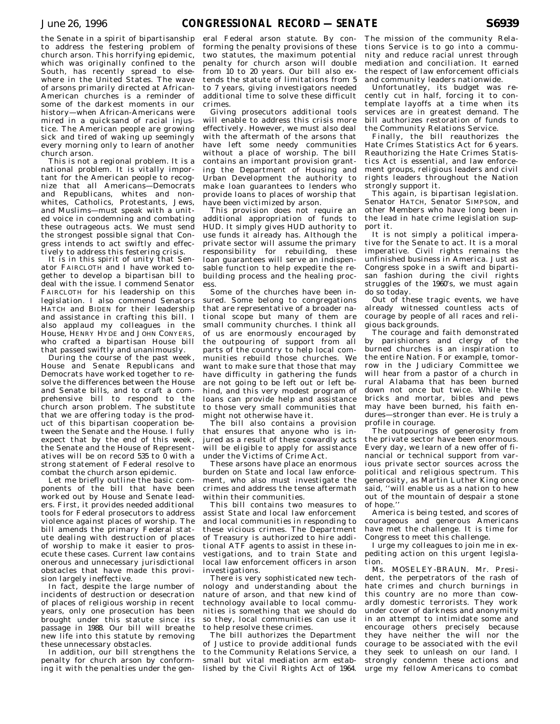the Senate in a spirit of bipartisanship to address the festering problem of church arson. This horrifying epidemic, which was originally confined to the South, has recently spread to elsewhere in the United States. The wave of arsons primarily directed at African-American churches is a reminder of some of the darkest moments in our history—when African-Americans were mired in a quicksand of racial injustice. The American people are growing sick and tired of waking up seemingly every morning only to learn of another church arson.

This is not a regional problem. It is a national problem. It is vitally important for the American people to recognize that all Americans—Democrats and Republicans, whites and nonwhites, Catholics, Protestants, Jews, and Muslims—must speak with a united voice in condemning and combating these outrageous acts. We must send the strongest possible signal that Congress intends to act swiftly and effectively to address this festering crisis.

It is in this spirit of unity that Senator FAIRCLOTH and I have worked together to develop a bipartisan bill to deal with the issue. I commend Senator FAIRCLOTH for his leadership on this legislation. I also commend Senators HATCH and BIDEN for their leadership and assistance in crafting this bill. I also applaud my colleagues in the House, HENRY HYDE and JOHN CONYERS, who crafted a bipartisan House bill that passed swiftly and unanimously.

During the course of the past week, House and Senate Republicans and Democrats have worked together to resolve the differences between the House and Senate bills, and to craft a comprehensive bill to respond to the church arson problem. The substitute that we are offering today is the product of this bipartisan cooperation between the Senate and the House. I fully expect that by the end of this week, the Senate and the House of Representatives will be on record 535 to  $\dot{0}$  with a strong statement of Federal resolve to combat the church arson epidemic.

Let me briefly outline the basic components of the bill that have been worked out by House and Senate leaders. First, it provides needed additional tools for Federal prosecutors to address violence against places of worship. The bill amends the primary Federal statute dealing with destruction of places of worship to make it easier to prosecute these cases. Current law contains onerous and unnecessary jurisdictional obstacles that have made this provision largely ineffective.

In fact, despite the large number of incidents of destruction or desecration of places of religious worship in recent years, only one prosecution has been brought under this statute since its passage in 1988. Our bill will breathe new life into this statute by removing these unnecessary obstacles.

In addition, our bill strengthens the penalty for church arson by conforming it with the penalties under the gen-

eral Federal arson statute. By conforming the penalty provisions of these two statutes, the maximum potential penalty for church arson will double from 10 to 20 years. Our bill also extends the statute of limitations from 5 to 7 years, giving investigators needed additional time to solve these difficult crimes.

Giving prosecutors additional tools will enable to address this crisis more effectively. However, we must also deal with the aftermath of the arsons that have left some needy communities without a place of worship. The bill contains an important provision granting the Department of Housing and Urban Development the authority to make loan guarantees to lenders who provide loans to places of worship that have been victimized by arson.

This provision does not require an additional appropriation of funds to HUD. It simply gives HUD authority to use funds it already has. Although the private sector will assume the primary responsibility for rebuilding, these loan guarantees will serve an indispensable function to help expedite the rebuilding process and the healing process.

Some of the churches have been insured. Some belong to congregations that are representative of a broader national scope but many of them are small community churches. I think all of us are enormously encouraged by the outpouring of support from all parts of the country to help local communities rebuild those churches. We want to make sure that those that may have difficulty in gathering the funds are not going to be left out or left behind, and this very modest program of loans can provide help and assistance to those very small communities that might not otherwise have it.

The bill also contains a provision that ensures that anyone who is injured as a result of these cowardly acts will be eligible to apply for assistance under the Victims of Crime Act.

These arsons have place an enormous burden on State and local law enforcement, who also must investigate the crimes and address the tense aftermath within their communities.

This bill contains two measures to assist State and local law enforcement and local communities in responding to these vicious crimes. The Department of Treasury is authorized to hire additional ATF agents to assist in these investigations, and to train State and local law enforcement officers in arson investigations.

There is very sophisticated new technology and understanding about the nature of arson, and that new kind of technology available to local communities is something that we should do so they, local communities can use it to help resolve these crimes.

The bill authorizes the Department of Justice to provide additional funds to the Community Relations Service, a small but vital mediation arm established by the Civil Rights Act of 1964.

The mission of the community Relations Service is to go into a community and reduce racial unrest through mediation and conciliation. It earned the respect of law enforcement officials and community leaders nationwide.

Unfortunatley, its budget was recently cut in half, forcing it to contemplate layoffs at a time when its services are in greatest demand. The bill authorizes restoration of funds to the Community Relations Service.

Finally, the bill reauthorizes the Hate Crimes Statistics Act for 6 years. Reauthorizing the Hate Crimes Statistics Act is essential, and law enforcement groups, religious leaders and civil rights leaders throughout the Nation strongly support it.

This again, is bipartisan legislation. Senator HATCH, Senator SIMPSON, and other Members who have long been in the lead in hate crime legislation support it.

It is not simply a political imperative for the Senate to act. It is a moral imperative. Civil rights remains the unfinished business in America. Just as Congress spoke in a swift and bipartisan fashion during the civil rights struggles of the 1960's, we must again do so today.

Out of these tragic events, we have already witnessed countless acts of courage by people of all races and religious backgrounds.

The courage and faith demonstrated by parishioners and clergy of the burned churches is an inspiration to the entire Nation. For example, tomorrow in the Judiciary Committee we will hear from a pastor of a church in rural Alabama that has been burned down not once but twice. While the bricks and mortar, bibles and pews may have been burned, his faith endures—stronger than ever. He is truly a profile in courage.

The outpourings of generosity from the private sector have been enormous. Every day, we learn of a new offer of financial or technical support from various private sector sources across the political and religious spectrum. This generosity, as Martin Luther King once said, ''will enable us as a nation to hew out of the mountain of despair a stone of hope.''

America is being tested, and scores of courageous and generous Americans have met the challenge. It is time for Congress to meet this challenge.

I urge my colleagues to join me in expediting action on this urgent legislation.

Ms. MOSELEY-BRAUN. Mr. President, the perpetrators of the rash of hate crimes and church burnings in this country are no more than cowardly domestic terrorists. They work under cover of darkness and anonymity in an attempt to intimidate some and encourage others precisely because they have neither the will nor the courage to be associated with the evil they seek to unleash on our land. I strongly condemn these actions and urge my fellow Americans to combat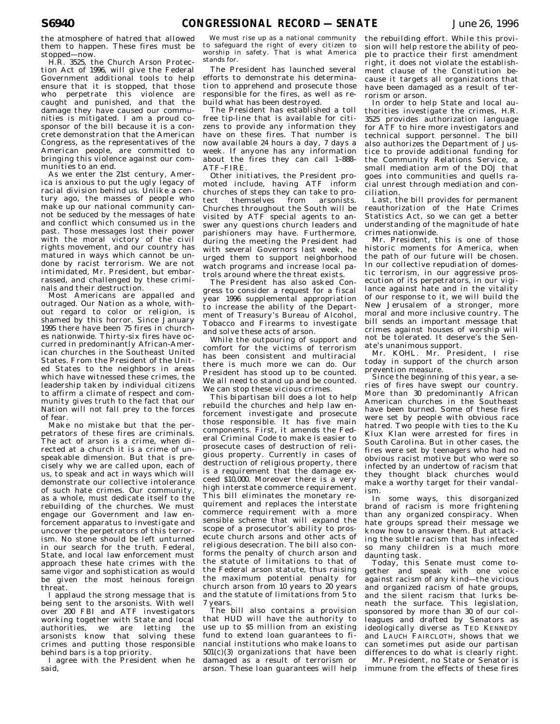the atmosphere of hatred that allowed them to happen. These fires must be stopped—now.

H.R. 3525, the Church Arson Protection Act of 1996, will give the Federal Government additional tools to help ensure that it is stopped, that those who perpetrate this violence are caught and punished, and that the damage they have caused our communities is mitigated. I am a proud cosponsor of the bill because it is a concrete demonstration that the American Congress, as the representatives of the American people, are committed to bringing this violence against our communities to an end.

As we enter the 21st century, America is anxious to put the ugly legacy of racial division behind us. Unlike a century ago, the masses of people who make up our national community cannot be seduced by the messages of hate and conflict which consumed us in the past. Those messages lost their power with the moral victory of the civil rights movement, and our country has matured in ways which cannot be undone by racist terrorism. We are not intimidated, Mr. President, but embarrassed, and challenged by these criminals and their destruction.

Most Americans are appalled and outraged. Our Nation as a whole, without regard to color or religion, is shamed by this horror. Since January 1995 there have been 75 fires in churches nationwide. Thirty-six fires have occurred in predominantly African-American churches in the Southeast United States. From the President of the United States to the neighbors in areas which have witnessed these crimes, the leadership taken by individual citizens to affirm a climate of respect and community gives truth to the fact that our Nation will not fall prey to the forces of fear.

Make no mistake but that the perpetrators of these fires are criminals. The act of arson is a crime, when directed at a church it is a crime of unspeakable dimension. But that is precisely why we are called upon, each of us, to speak and act in ways which will demonstrate our collective intolerance of such hate crimes. Our community, as a whole, must dedicate itself to the rebuilding of the churches. We must engage our Government and law enforcement apparatus to investigate and uncover the perpetrators of this terrorism. No stone should be left unturned in our search for the truth. Federal, State, and local law enforcement must approach these hate crimes with the same vigor and sophistication as would be given the most heinous foreign threat.

I applaud the strong message that is being sent to the arsonists. With well over 200 FBI and ATF investigators working together with State and local authorities, we are letting the arsonists know that solving these crimes and putting those responsible behind bars is a top priority.

I agree with the President when he said,

We must rise up as a national community to safeguard the right of every citizen to worship in safety. That is what America stands for.

The President has launched several efforts to demonstrate his determination to apprehend and prosecute those responsible for the fires, as well as rebuild what has been destroyed.

The President has established a toll free tip-line that is available for citizens to provide any information they have on these fires. That number is now available 24 hours a day, 7 days a week. If anyone has any information about the fires they can call 1–888– ATF–FIRE.

Other initiatives, the President promoted include, having ATF inform churches of steps they can take to protect themselves from arsonists. Churches throughout the South will be visited by ATF special agents to answer any questions church leaders and parishioners may have. Furthermore, during the meeting the President had with several Governors last week, he urged them to support neighborhood watch programs and increase local patrols around where the threat exists.

The President has also asked Congress to consider a request for a fiscal year 1996 supplemental appropriation to increase the ability of the Department of Treasury's Bureau of Alcohol, Tobacco and Firearms to investigate and solve these acts of arson.

While the outpouring of support and comfort for the victims of terrorism has been consistent and multiracial there is much more we can do. Our President has stood up to be counted. We all need to stand up and be counted. We can stop these vicious crimes.

This bipartisan bill does a lot to help rebuild the churches and help law enforcement investigate and prosecute those responsible. It has five main components. First, it amends the Federal Criminal Code to make is easier to prosecute cases of destruction of religious property. Currently in cases of destruction of religious property, there is a requirement that the damage exceed \$10,000. Moreover there is a very high interstate commerce requirement. This bill eliminates the monetary requirement and replaces the interstate commerce requirement with a more sensible scheme that will expand the scope of a prosecutor's ability to prosecute church arsons and other acts of religious desecration. The bill also conforms the penalty of church arson and the statute of limitations to that of the Federal arson statute, thus raising the maximum potential penalty for church arson from 10 years to 20 years and the statute of limitations from 5 to 7 years.

The bill also contains a provision that HUD will have the authority to use up to \$5 million from an existing fund to extend loan guarantees to financial institutions who make loans to  $501(c)(3)$  organizations that have been damaged as a result of terrorism or arson. These loan guarantees will help

the rebuilding effort. While this provision will help restore the ability of people to practice their first amendment right, it does not violate the establishment clause of the Constitution because it targets all organizations that have been damaged as a result of terrorism or arson.

In order to help State and local authorities investigate the crimes, H.R. 3525 provides authorization language for ATF to hire more investigators and technical support personnel. The bill also authorizes the Department of Justice to provide additional funding for the Community Relations Service, a small mediation arm of the DOJ that goes into communities and quells racial unrest through mediation and conciliation.

Last, the bill provides for permanent reauthorization of the Hate Crimes Statistics Act, so we can get a better understanding of the magnitude of hate crimes nationwide.

Mr. President, this is one of those historic moments for America, when the path of our future will be chosen. In our collective repudiation of domestic terrorism, in our aggressive prosecution of its perpetrators, in our vigilance against hate and in the vitality of our response to it, we will build the New Jerusalem of a stronger, more moral and more inclusive country. The bill sends an important message that crimes against houses of worship will not be tolerated. It deserve's the Senate's unanimous support.

Mr. KOHL. Mr. President, I rise today in support of the church arson prevention measure.

Since the beginning of this year, a series of fires have swept our country. More than 30 predominantly African American churches in the Southeast have been burned. Some of these fires were set by people with obvious race hatred. Two people with ties to the Ku Klux Klan were arrested for fires in South Carolina. But in other cases, the fires were set by teenagers who had no obvious racist motive but who were so infected by an undertow of racism that they thought black churches would make a worthy target for their vandalism.

In some ways, this disorganized brand of racism is more frightening than any organized conspiracy. When hate groups spread their message we know how to answer them. But attacking the subtle racism that has infected so many children is a much more daunting task.

Today, this Senate must come together and speak with one voice against racism of any kind—the vicious and organized racism of hate groups, and the silent racism that lurks beneath the surface. This legislation, sponsored by more than 30 of our colleagues and drafted by Senators as ideologically diverse as TED KENNEDY and LAUCH FAIRCLOTH, shows that we can sometimes put aside our partisan differences to do what is clearly right.

Mr. President, no State or Senator is immune from the effects of these fires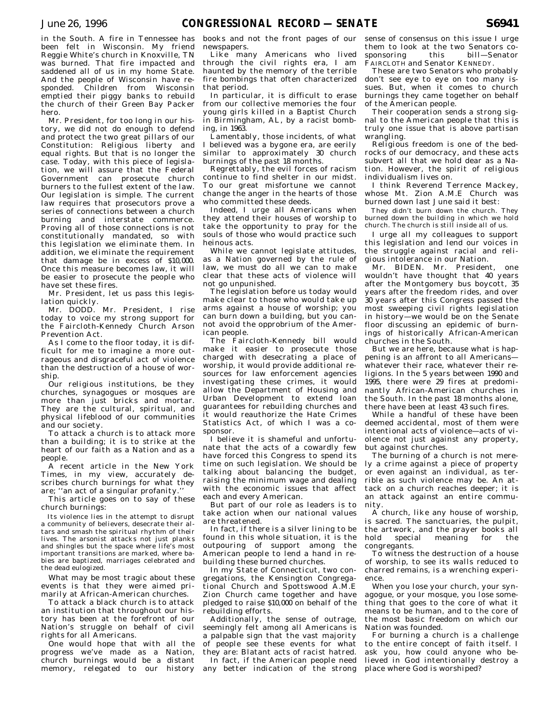in the South. A fire in Tennessee has been felt in Wisconsin. My friend Reggie White's church in Knoxville, TN was burned. That fire impacted and saddened all of us in my home State. And the people of Wisconsin have responded. Children from Wisconsin emptied their piggy banks to rebuild the church of their Green Bay Packer hero.

Mr. President, for too long in our history, we did not do enough to defend and protect the two great pillars of our Constitution: Religious liberty and equal rights. But that is no longer the case. Today, with this piece of legislation, we will assure that the Federal Government can prosecute church burners to the fullest extent of the law. Our legislation is simple. The current law requires that prosecutors prove a series of connections between a church burning and interstate commerce. Proving all of those connections is not constitutionally mandated, so with this legislation we eliminate them. In addition, we eliminate the requirement that damage be in excess of \$10,000. Once this measure becomes law, it will be easier to prosecute the people who have set these fires.

Mr. President, let us pass this legislation quickly.

Mr. DODD. Mr. President, I rise today to voice my strong support for the Faircloth-Kennedy Church Arson Prevention Act.

As I come to the floor today, it is difficult for me to imagine a more outrageous and disgraceful act of violence than the destruction of a house of worship.

Our religious institutions, be they churches, synagogues or mosques are more than just bricks and mortar. They are the cultural, spiritual, and physical lifeblood of our communities and our society.

To attack a church is to attack more than a building; it is to strike at the heart of our faith as a Nation and as a people.

A recent article in the New York Times, in my view, accurately describes church burnings for what they are; "an act of a singular profanity.'

This article goes on to say of these church burnings:

Its violence lies in the attempt to disrupt a community of believers, desecrate their altars and smash the spiritual rhythm of their lives. The arsonist attacks not just planks and shingles but the space where life's most important transitions are marked, where babies are baptized, marriages celebrated and the dead eulogized.

What may be most tragic about these events is that they were aimed primarily at African-American churches.

To attack a black church is to attack an institution that throughout our history has been at the forefront of our Nation's struggle on behalf of civil rights for all Americans.

One would hope that with all the progress we've made as a Nation, church burnings would be a distant memory, relegated to our history

books and not the front pages of our newspapers.

Like many Americans who lived through the civil rights era, I am haunted by the memory of the terrible fire bombings that often characterized that period.

In particular, it is difficult to erase from our collective memories the four young girls killed in a Baptist Church in Birmingham, AL, by a racist bombing, in 1963.

Lamentably, those incidents, of what I believed was a bygone era, are eerily similar to approximately 30 church burnings of the past 18 months.

Regrettably, the evil forces of racism continue to find shelter in our midst. To our great misfortune we cannot change the anger in the hearts of those who committed these deeds.

Indeed, I urge all Americans when they attend their houses of worship to take the opportunity to pray for the souls of those who would practice such heinous acts.

While we cannot legislate attitudes, as a Nation governed by the rule of law, we must do all we can to make clear that these acts of violence will not go unpunished.

The legislation before us today would make clear to those who would take up arms against a house of worship; you can burn down a building, but you cannot avoid the opprobrium of the American people.

The Faircloth-Kennedy bill would make it easier to prosecute those charged with desecrating a place of worship, it would provide additional resources for law enforcement agencies investigating these crimes, it would allow the Department of Housing and Urban Development to extend loan guarantees for rebuilding churches and it would reauthorize the Hate Crimes Statistics Act, of which I was a cosponsor.

I believe it is shameful and unfortunate that the acts of a cowardly few have forced this Congress to spend its time on such legislation. We should be talking about balancing the budget, raising the minimum wage and dealing with the economic issues that affect each and every American.

But part of our role as leaders is to take action when our national values are threatened.

In fact, if there is a silver lining to be found in this whole situation, it is the outpouring of support among the American people to lend a hand in rebuilding these burned churches.

In my State of Connecticut, two congregations, the Kensington Congregational Church and Spottswood A.M.E Zion Church came together and have pledged to raise \$10,000 on behalf of the rebuilding efforts.

Additionally, the sense of outrage, seemingly felt among all Americans is a palpable sign that the vast majority of people see these events for what they are: Blatant acts of racist hatred.

In fact, if the American people need any better indication of the strong sense of consensus on this issue I urge them to look at the two Senators cosponsoring this bill—Senator FAIRCLOTH and Senator KENNEDY.

These are two Senators who probably don't see eye to eye on too many issues. But, when it comes to church burnings they came together on behalf of the American people.

Their cooperation sends a strong signal to the American people that this is truly one issue that is above partisan wrangling.

Religious freedom is one of the bedrocks of our democracy, and these acts subvert all that we hold dear as a Nation. However, the spirit of religious individualism lives on.

I think Reverend Terrence Mackey, whose Mt. Zion A.M.E Church was burned down last June said it best:

They didn't burn down the church. They burned down the building in which we hold church. The church is still inside all of us.

I urge all my colleagues to support this legislation and lend our voices in the struggle against racial and religious intolerance in our Nation.

Mr. BIDEN. Mr. President, wouldn't have thought that 40 years after the Montgomery bus boycott, 35 years after the freedom rides, and over 30 years after this Congress passed the most sweeping civil rights legislation in history—we would be on the Senate floor discussing an epidemic of burnings of historically African-American churches in the South.

But we are here, because what is happening is an affront to all Americans whatever their race, whatever their religions. In the 5 years between 1990 and 1995, there were 29 fires at predominantly African-American churches in the South. In the past 18 months alone, there have been at least 43 such fires.

While a handful of these have been deemed accidental, most of them were intentional acts of violence—acts of violence not just against any property, but against churches.

The burning of a church is not merely a crime against a piece of property or even against an individual, as terrible as such violence may be. An attack on a church reaches deeper; it is an attack against an entire community.

A church, like any house of worship, is sacred. The sanctuaries, the pulpit, the artwork, and the prayer books all hold special meaning for the congregants.

To witness the destruction of a house of worship, to see its walls reduced to charred remains, is a wrenching experience.

When you lose your church, your synagogue, or your mosque, you lose something that goes to the core of what it means to be human, and to the core of the most basic freedom on which our Nation was founded.

For burning a church is a challenge to the entire concept of faith itself. I ask you, how could anyone who believed in God intentionally destroy a place where God is worshiped?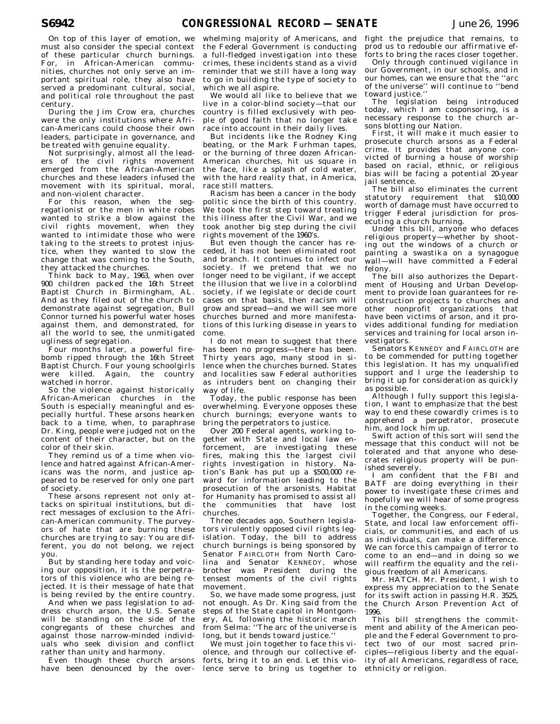On top of this layer of emotion, we must also consider the special context of these particular church burnings. For, in African-American communities, churches not only serve an important spiritual role, they also have served a predominant cultural, social, and political role throughout the past century.

During the Jim Crow era, churches were the only institutions where African-Americans could choose their own leaders, participate in governance, and be treated with genuine equality.

Not surprisingly, almost all the leaders of the civil rights movement emerged from the African-American churches and these leaders infused the movement with its spiritual, moral, and non-violent character.

For this reason, when the segregationist or the men in white robes wanted to strike a blow against the civil rights movement, when they wanted to intimidate those who were taking to the streets to protest injustice, when they wanted to slow the change that was coming to the South, they attacked the churches.

Think back to May, 1963, when over 900 children packed the 16th Street Baptist Church in Birmingham, AL. And as they filed out of the church to demonstrate against segregation, Bull Connor turned his powerful water hoses against them, and demonstrated, for all the world to see, the unmitigated ugliness of segregation.

Four months later, a powerful firebomb ripped through the 16th Street Baptist Church. Four young schoolgirls were killed. Again, the country watched in horror.

So the violence against historically African-American churches in the South is especially meaningful and especially hurtful. These arsons hearken back to a time, when, to paraphrase Dr. King, people were judged not on the content of their character, but on the color of their skin.

They remind us of a time when violence and hatred against African-Americans was the norm, and justice appeared to be reserved for only one part of society.

These arsons represent not only attacks on spiritual institutions, but direct messages of exclusion to the African-American community. The purveyors of hate that are burning these churches are trying to say: You are different, you do not belong, we reject you.

But by standing here today and voicing our opposition, it is the perpetrators of this violence who are being rejected. It is their message of hate that is being reviled by the entire country.

And when we pass legislation to address church arson, the U.S. Senate will be standing on the side of the congregants of these churches and against those narrow-minded individuals who seek division and conflict rather than unity and harmony.

Even though these church arsons have been denounced by the over-

whelming majority of Americans, and the Federal Government is conducting a full-fledged investigation into these crimes, these incidents stand as a vivid reminder that we still have a long way to go in building the type of society to which we all aspire.

We would all like to believe that we live in a color-blind society—that our country is filled exclusively with people of good faith that no longer take race into account in their daily lives.

But incidents like the Rodney King beating, or the Mark Furhman tapes, or the burning of three dozen African-American churches, hit us square in the face, like a splash of cold water, with the hard reality that, in America, race still matters.

Racism has been a cancer in the body politic since the birth of this country. We took the first step toward treating this illness after the Civil War, and we took another big step during the civil rights movement of the 1960's.

But even though the cancer has receded, it has not been eliminated root and branch. It continues to infect our society. If we pretend that we no longer need to be vigilant, if we accept the illusion that we live in a colorblind society, if we legislate or decide court cases on that basis, then racism will grow and spread—and we will see more churches burned and more manifestations of this lurking disease in years to come.

I do not mean to suggest that there has been no progress—there has been. Thirty years ago, many stood in silence when the churches burned. States and localities saw Federal authorities as intruders bent on changing their way of life.

Today, the public response has been overwhelming. Everyone opposes these church burnings; everyone wants to bring the perpetrators to justice.

Over 200 Federal agents, working together with State and local law enforcement, are investigating these fires, making this the largest civil rights investigation in history. Nation's Bank has put up a \$500,000 reward for information leading to the prosecution of the arsonists. Habitat for Humanity has promised to assist all the communities that have lost churches.

Three decades ago, Southern legislators virulently opposed civil rights legislation. Today, the bill to address church burnings is being sponsored by Senator FAIRCLOTH from North Carolina and Senator KENNEDY, whose brother was President during the tensest moments of the civil rights movement.

So, we have made some progress, just not enough. As Dr. King said from the steps of the State capitol in Montgomery, AL following the historic march from Selma: ''The arc of the universe is long, but it bends toward justice.''

We must join together to face this violence, and through our collective efforts, bring it to an end. Let this violence serve to bring us together to fight the prejudice that remains, to prod us to redouble our affirmative efforts to bring the races closer together.

Only through continued vigilance in our Government, in our schools, and in our homes, can we ensure that the ''arc of the universe'' will continue to ''bend toward justice.''

The legislation being introduced today, which I am cosponsoring, is a necessary response to the church arsons blotting our Nation.

First, it will make it much easier to prosecute church arsons as a Federal crime. It provides that anyone convicted of burning a house of worship based on racial, ethnic, or religious bias will be facing a potential 20-year jail sentence.

The bill also eliminates the current statutory requirement that \$10,000 worth of damage must have occurred to trigger Federal jurisdiction for prosecuting a church burning.

Under this bill, anyone who defaces religious property—whether by shooting out the windows of a church or painting a swastika on a synagogue wall—will have committed a Federal felony.

The bill also authorizes the Department of Housing and Urban Development to provide loan guarantees for reconstruction projects to churches and other nonprofit organizations that have been victims of arson, and it provides additional funding for mediation services and training for local arson investigators.

Senators KENNEDY and FAIRCLOTH are to be commended for putting together this legislation. It has my unqualified support and I urge the leadership to bring it up for consideration as quickly as possible.

Although I fully support this legislation, I want to emphasize that the best way to end these cowardly crimes is to apprehend a perpetrator, prosecute him, and lock him up.

Swift action of this sort will send the message that this conduct will not be tolerated and that anyone who desecrates religious property will be punished severely.

I am confident that the FBI and BATF are doing everything in their power to investigate these crimes and hopefully we will hear of some progress in the coming weeks.

Together, the Congress, our Federal, State, and local law enforcement officials, or communities, and each of us as individuals, can make a difference. We can force this campaign of terror to come to an end—and in doing so we will reaffirm the equality and the religious freedom of all Americans.

Mr. HATCH. Mr. President, I wish to express my appreciation to the Senate for its swift action in passing H.R. 3525, the Church Arson Prevention Act of 1996.

This bill strengthens the commitment and ability of the American people and the Federal Government to protect two of our most sacred principles—religious liberty and the equality of all Americans, regardless of race, ethnicity or religion.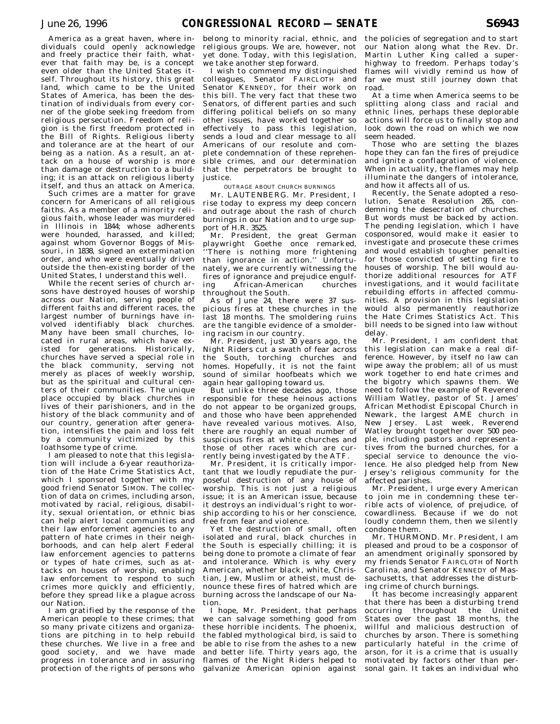America as a great haven, where individuals could openly acknowledge and freely practice their faith, whatever that faith may be, is a concept even older than the United States itself. Throughout its history, this great land, which came to be the United States of America, has been the destination of individuals from every corner of the globe seeking freedom from religious persecution. Freedom of religion is the first freedom protected in the Bill of Rights. Religious liberty and tolerance are at the heart of our being as a nation. As a result, an attack on a house of worship is more than damage or destruction to a building; it is an attack on religious liberty itself, and thus an attack on America.

Such crimes are a matter for grave concern for Americans of all religious faiths. As a member of a minority religious faith, whose leader was murdered in Illinois in 1844; whose adherents were hounded, harassed, and killed; against whom Governor Boggs of Missouri, in 1838, signed an extermination order, and who were eventually driven outside the then-existing border of the United States, I understand this well.

While the recent series of church arsons have destroyed houses of worship across our Nation, serving people of different faiths and different races, the largest number of burnings have involved identifiably black churches. Many have been small churches, located in rural areas, which have existed for generations. Historically, churches have served a special role in the black community, serving not merely as places of weekly worship, but as the spiritual and cultural centers of their communities. The unique place occupied by black churches in lives of their parishioners, and in the history of the black community and of our country, generation after generation, intensifies the pain and loss felt by a community victimized by this loathsome type of crime.

I am pleased to note that this legislation will include a 6-year reauthorization of the Hate Crime Statistics Act, which I sponsored together with my good friend Senator SIMON. The collection of data on crimes, including arson, motivated by racial, religious, disability, sexual orientation, or ethnic bias can help alert local communities and their law enforcement agencies to any pattern of hate crimes in their neighborhoods, and can help alert Federal law enforcement agencies to patterns or types of hate crimes, such as attacks on houses of worship, enabling law enforcement to respond to such crimes more quickly and efficiently, before they spread like a plague across our Nation.

I am gratified by the response of the American people to these crimes; that so many private citizens and organizations are pitching in to help rebuild these churches. We live in a free and good society, and we have made progress in tolerance and in assuring protection of the rights of persons who

belong to minority racial, ethnic, and religious groups. We are, however, not yet done. Today, with this legislation, we take another step forward.

I wish to commend my distinguished colleagues, Senator FAIRCLOTH and Senator KENNEDY, for their work on this bill. The very fact that these two Senators, of different parties and such differing political beliefs on so many other issues, have worked together so effectively to pass this legislation, sends a loud and clear message to all Americans of our resolute and complete condemnation of these reprehensible crimes, and our determination that the perpetrators be brought to justice.

### OUTRAGE ABOUT CHURCH BURNINGS

Mr. LAUTENBERG. Mr. President, I rise today to express my deep concern and outrage about the rash of church burnings in our Nation and to urge support of H.R. 3525.

Mr. President, the great German playwright Goethe once remarked, There is nothing more frightening than ignorance in action.'' Unfortunately, we are currently witnessing the fires of ignorance and prejudice engulf-<br>ing African-American churches African-American throughout the South.

As of June 24, there were 37 suspicious fires at these churches in the last 18 months. The smoldering ruins are the tangible evidence of a smoldering racism in our country.

Mr. President, just 30 years ago, the Night Riders cut a swath of fear across the South, torching churches and homes. Hopefully, it is not the faint sound of similar hoofbeats which we again hear galloping toward us.

But unlike three decades ago, those responsible for these heinous actions do not appear to be organized groups, and those who have been apprehended have revealed various motives. Also, there are roughly an equal number of suspicious fires at white churches and those of other races which are currently being investigated by the ATF.

Mr. President, it is critically important that we loudly repudiate the purposeful destruction of any house of worship. This is not just a religious issue; it is an American issue, because it destroys an individual's right to worship according to his or her conscience, free from fear and violence.

Yet the destruction of small, often isolated and rural, black churches in the South is especially chilling; it is being done to promote a climate of fear and intolerance. Which is why every American, whether black, white, Christian, Jew, Muslim or atheist, must denounce these fires of hatred which are burning across the landscape of our Nation.

I hope, Mr. President, that perhaps we can salvage something good from these horrible incidents. The phoenix, the fabled mythological bird, is said to be able to rise from the ashes to a new and better life. Thirty years ago, the flames of the Night Riders helped to galvanize American opinion against

the policies of segregation and to start our Nation along what the Rev. Dr. Martin Luther King called a superhighway to freedom. Perhaps today's flames will vividly remind us how of far we must still journey down that road.

At a time when America seems to be splitting along class and racial and ethnic lines, perhaps these deplorable actions will force us to finally stop and look down the road on which we now seem headed.

Those who are setting the blazes hope they can fan the fires of prejudice and ignite a conflagration of violence. When in actuality, the flames may help illuminate the dangers of intolerance, and how it affects all of us.

Recently, the Senate adopted a resolution, Senate Resolution 265, condemning the desecration of churches. But words must be backed by action. The pending legislation, which I have cosponsored, would make it easier to investigate and prosecute these crimes and would establish tougher penalties for those convicted of setting fire to houses of worship. The bill would authorize additional resources for ATF investigations, and it would facilitate rebuilding efforts in affected communities. A provision in this legislation would also permanently reauthorize the Hate Crimes Statistics Act. This bill needs to be signed into law without delay.

Mr. President, I am confident that this legislation can make a real difference. However, by itself no law can wipe away the problem; all of us must work together to end hate crimes and the bigotry which spawns them. We need to follow the example of Reverend William Watley, pastor of St. James' African Methodist Episcopal Church in Newark, the largest AME church in New Jersey. Last week, Reverend Watley brought together over 500 people, including pastors and representatives from the burned churches, for a special service to denounce the violence. He also pledged help from New Jersey's religious community for the affected parishes.

Mr. President, I urge every American to join me in condemning these terrible acts of violence, of prejudice, of cowardliness. Because if we do not loudly condemn them, then we silently condone them.

Mr. THURMOND. Mr. President, I am pleased and proud to be a cosponsor of an amendment originally sponsored by my friends Senator FAIRCLOTH of North Carolina, and Senator KENNEDY of Massachusetts, that addresses the disturbing crime of church burnings.

It has become increasingly apparent that there has been a disturbing trend occurring throughout the United States over the past 18 months, the willful and malicious destruction of churches by arson. There is something particularly hateful in the crime of arson, for it is a crime that is usually motivated by factors other than personal gain. It takes an individual who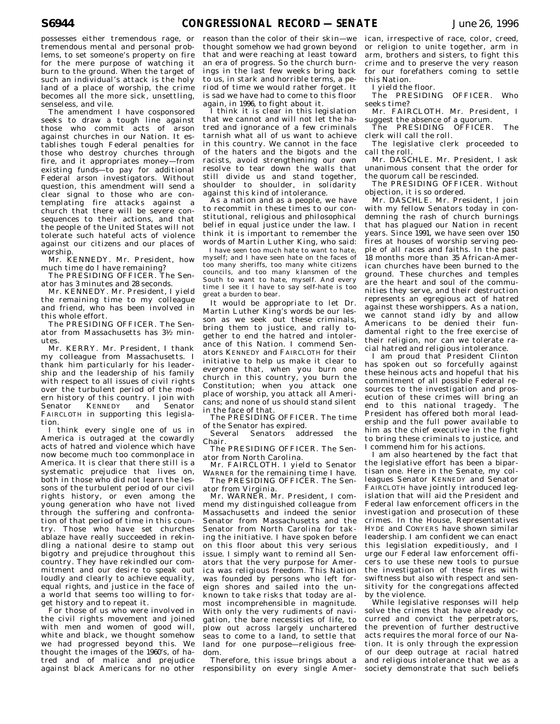possesses either tremendous rage, or tremendous mental and personal problems, to set someone's property on fire for the mere purpose of watching it burn to the ground. When the target of such an individual's attack is the holy land of a place of worship, the crime becomes all the more sick, unsettling, senseless, and vile.

The amendment I have cosponsored seeks to draw a tough line against those who commit acts of arson against churches in our Nation. It establishes tough Federal penalties for those who destroy churches through fire, and it appropriates money—from existing funds—to pay for additional Federal arson investigators. Without question, this amendment will send a clear signal to those who are contemplating fire attacks against a church that there will be severe consequences to their actions, and that the people of the United States will not tolerate such hateful acts of violence against our citizens and our places of worship.

Mr. KENNEDY. Mr. President, how much time do I have remaining?

The PRESIDING OFFICER. The Senator has 3 minutes and 28 seconds.

Mr. KENNEDY. Mr. President, I yield the remaining time to my colleague and friend, who has been involved in this whole effort.

The PRESIDING OFFICER. The Senator from Massachusetts has 31⁄2 minutes.

Mr. KERRY. Mr. President, I thank my colleague from Massachusetts. I thank him particularly for his leadership and the leadership of his family with respect to all issues of civil rights over the turbulent period of the modern history of this country. I join with<br>Senator KENNEDY and Senator KENNEDY FAIRCLOTH in supporting this legislation.

I think every single one of us in America is outraged at the cowardly acts of hatred and violence which have now become much too commonplace in America. It is clear that there still is a systematic prejudice that lives on, both in those who did not learn the lessons of the turbulent period of our civil rights history, or even among the young generation who have not lived through the suffering and confrontation of that period of time in this country. Those who have set churches ablaze have really succeeded in rekindling a national desire to stamp out bigotry and prejudice throughout this country. They have rekindled our commitment and our desire to speak out loudly and clearly to achieve equality, equal rights, and justice in the face of a world that seems too willing to forget history and to repeat it.

For those of us who were involved in the civil rights movement and joined with men and women of good will, white and black, we thought somehow we had progressed beyond this. We thought the images of the 1960's, of hatred and of malice and prejudice against black Americans for no other

reason than the color of their skin—we thought somehow we had grown beyond that and were reaching at least toward an era of progress. So the church burnings in the last few weeks bring back to us, in stark and horrible terms, a period of time we would rather forget. It is sad we have had to come to this floor again, in 1996, to fight about it.

I think it is clear in this legislation that we cannot and will not let the hatred and ignorance of a few criminals tarnish what all of us want to achieve in this country. We cannot in the face of the haters and the bigots and the racists, avoid strengthening our own resolve to tear down the walls that still divide us and stand together, shoulder to shoulder, in solidarity against this kind of intolerance.

As a nation and as a people, we have to recommit in these times to our constitutional, religious and philosophical belief in equal justice under the law. I think it is important to remember the words of Martin Luther King, who said:

I have seen too much hate to want to hate, myself; and I have seen hate on the faces of too many sheriffs, too many white citizens councils, and too many klansmen of the South to want to hate, myself. And every time I see it I have to say self-hate is too great a burden to bear.

It would be appropriate to let Dr. Martin Luther King's words be our lesson as we seek out these criminals, bring them to justice, and rally together to end the hatred and intolerance of this Nation. I commend Senators KENNEDY and FAIRCLOTH for their initiative to help us make it clear to everyone that, when you burn one church in this country, you burn the Constitution; when you attack one place of worship, you attack all Americans; and none of us should stand silent in the face of that.

The PRESIDING OFFICER. The time of the Senator has expired.

Several Senators addressed the Chair.

The PRESIDING OFFICER. The Senator from North Carolina.

Mr. FAIRCLOTH. I yield to Senator WARNER for the remaining time I have.

The PRESIDING OFFICER. The Senator from Virginia.

Mr. WARNER. Mr. President, I commend my distinguished colleague from Massachusetts and indeed the senior Senator from Massachusetts and the Senator from North Carolina for taking the initiative. I have spoken before on this floor about this very serious issue. I simply want to remind all Senators that the very purpose for America was religious freedom. This Nation was founded by persons who left foreign shores and sailed into the unknown to take risks that today are almost incomprehensible in magnitude. With only the very rudiments of navigation, the bare necessities of life, to plow out across largely unchartered seas to come to a land, to settle that land for one purpose—religious freedom.

Therefore, this issue brings about a responsibility on every single American, irrespective of race, color, creed, or religion to unite together, arm in arm, brothers and sisters, to fight this crime and to preserve the very reason for our forefathers coming to settle this Nation.

I yield the floor.

The PRESIDING OFFICER. Who seeks time?

Mr. FAIRCLOTH. Mr. President, I suggest the absence of a quorum.

The PRESIDING OFFICER. The clerk will call the roll.

The legislative clerk proceeded to call the roll.

Mr. DASCHLE. Mr. President, I ask unanimous consent that the order for the quorum call be rescinded.

The PRESIDING OFFICER. Without objection, it is so ordered.

Mr. DASCHLE. Mr. President, I join with my fellow Senators today in condemning the rash of church burnings that has plagued our Nation in recent years. Since 1991, we have seen over 150 fires at houses of worship serving people of all races and faiths. In the past 18 months more than 35 African-American churches have been burned to the ground. These churches and temples are the heart and soul of the communities they serve, and their destruction represents an egregious act of hatred against these worshippers. As a nation, we cannot stand idly by and allow Americans to be denied their fundamental right to the free exercise of their religion, nor can we tolerate racial hatred and religious intolerance.

I am proud that President Clinton has spoken out so forcefully against these heinous acts and hopeful that his commitment of all possible Federal resources to the investigation and prosecution of these crimes will bring an<br>end to this national tragedy. The end to this national tragedy. President has offered both moral leadership and the full power available to him as the chief executive in the fight to bring these criminals to justice, and I commend him for his actions.

I am also heartened by the fact that the legislative effort has been a bipartisan one. Here in the Senate, my colleagues Senator KENNEDY and Senator FAIRCLOTH have jointly introduced legislation that will aid the President and Federal law enforcement officers in the investigation and prosecution of these crimes. In the House, Representatives HYDE and CONYERS have shown similar leadership. I am confident we can enact this legislation expeditiously, and I urge our Federal law enforcement officers to use these new tools to pursue the investigation of these fires with swiftness but also with respect and sensitivity for the congregations affected by the violence.

While legislative responses will help solve the crimes that have already occurred and convict the perpetrators, the prevention of further destructive acts requires the moral force of our Nation. It is only through the expression of our deep outrage at racial hatred and religious intolerance that we as a society demonstrate that such beliefs